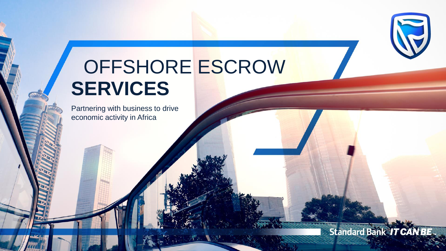# OFFSHORE ESCROW **SERVICES**

**Standard Bank IT CAN BE.** 

Partnering with business to drive economic activity in Africa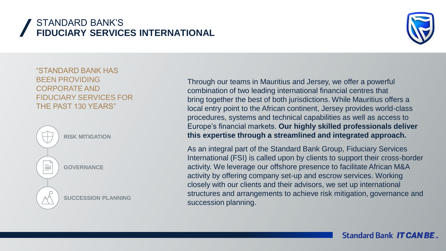# STANDARD BANK'S **FIDUCIARY SERVICES INTERNATIONAL**



"STANDARD BANK HAS BEEN PROVIDING CORPORATE AND FIDUCIARY SERVICES FOR THE PAST 130 YEARS"



Through our teams in Mauritius and Jersey, we offer a powerful combination of two leading international financial centres that bring together the best of both jurisdictions. While Mauritius offers a local entry point to the African continent, Jersey provides world-class procedures, systems and technical capabilities as well as access to Europe's financial markets. **Our highly skilled professionals deliver this expertise through a streamlined and integrated approach.**

As an integral part of the Standard Bank Group, Fiduciary Services International (FSI) is called upon by clients to support their cross-border activity. We leverage our offshore presence to facilitate African M&A activity by offering company set-up and escrow services. Working closely with our clients and their advisors, we set up international structures and arrangements to achieve risk mitigation, governance and succession planning.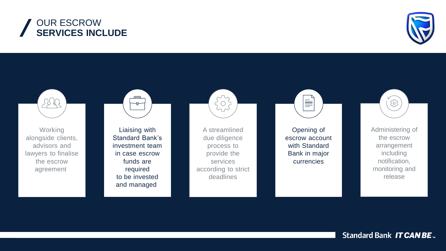



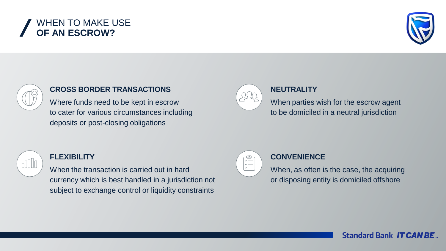# WHEN TO MAKE USE **OF AN ESCROW?**





#### **CROSS BORDER TRANSACTIONS**

Where funds need to be kept in escrow to cater for various circumstances including deposits or post-closing obligations  $\left(\begin{array}{c} \downarrow \downarrow \downarrow \downarrow \end{array}\right)$ 



#### **NEUTRALITY**

When parties wish for the escrow agent to be domiciled in a neutral jurisdiction



#### **FLEXIBILITY**

When the transaction is carried out in hard currency which is best handled in a jurisdiction not subject to exchange control or liquidity constraints



#### **CONVENIENCE**

When, as often is the case, the acquiring or disposing entity is domiciled offshore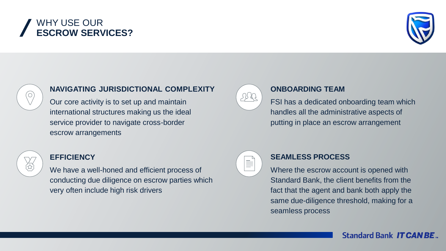# WHY USE OUR **ESCROW SERVICES?**





#### **NAVIGATING JURISDICTIONAL COMPLEXITY**

Our core activity is to set up and maintain international structures making us the ideal service provider to navigate cross-border escrow arrangements  $\frac{1}{2}$  Our care activity is to set up and maintain



#### **ONBOARDING TEAM**

FSI has a dedicated onboarding team which handles all the administrative aspects of putting in place an escrow arrangement



#### **EFFICIENCY**

We have a well-honed and efficient process of conducting due diligence on escrow parties which very often include high risk drivers



#### **SEAMLESS PROCESS**

Where the escrow account is opened with Standard Bank, the client benefits from the fact that the agent and bank both apply the same due-diligence threshold, making for a seamless process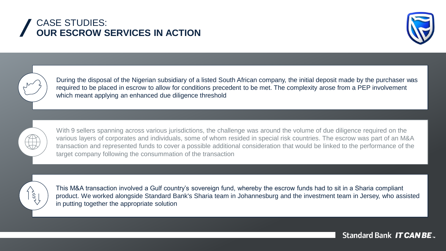# CASE STUDIES: **OUR ESCROW SERVICES IN ACTION**





During the disposal of the Nigerian subsidiary of a listed South African company, the initial deposit made by the purchaser was required to be placed in escrow to allow for conditions precedent to be met. The complexity arose from a PEP involvement which meant applying an enhanced due diligence threshold



With 9 sellers spanning across various jurisdictions, the challenge was around the volume of due diligence required on the various layers of corporates and individuals, some of whom resided in special risk countries. The escrow was part of an M&A transaction and represented funds to cover a possible additional consideration that would be linked to the performance of the target company following the consummation of the transaction



This M&A transaction involved a Gulf country's sovereign fund, whereby the escrow funds had to sit in a Sharia compliant product. We worked alongside Standard Bank's Sharia team in Johannesburg and the investment team in Jersey, who assisted in putting together the appropriate solution

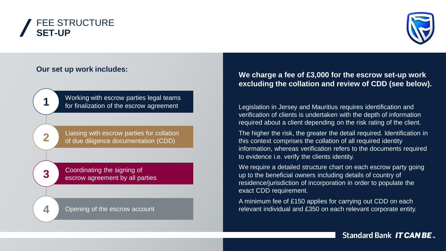## FEE STRUCTURE **SET-UP**



#### **Our set up work includes:**

Working with escrow parties legal teams **1** for finalization of the escrow agreement

**2** Liaising with escrow parties for collation of due diligence documentation (CDD)

**3** Coordinating the signing of escrow agreement by all parties

**4** Opening of the escrow account

#### **We charge a fee of £3,000 for the escrow set-up work excluding the collation and review of CDD (see below).**

Legislation in Jersey and Mauritius requires identification and verification of clients is undertaken with the depth of information required about a client depending on the risk rating of the client.

The higher the risk, the greater the detail required. Identification in this context comprises the collation of all required identity information, whereas verification refers to the documents required to evidence i.e. verify the clients identity.

We require a detailed structure chart on each escrow party going up to the beneficial owners including details of country of residence/jurisdiction of incorporation in order to populate the exact CDD requirement.

A minimum fee of £150 applies for carrying out CDD on each relevant individual and £350 on each relevant corporate entity.

**Standard Bank IT CAN BE.**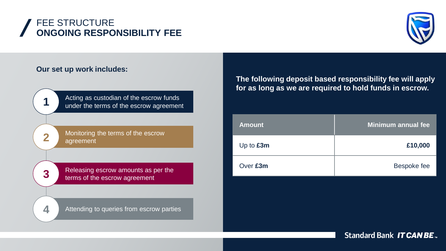## FEE STRUCTURE **ONGOING RESPONSIBILITY FEE**



#### **Our set up work includes:**

Acting as custodian of the escrow funds<br>
under the terms of the escrow agreement

**2** Monitoring the terms of the escrow agreement

**3** Releasing escrow amounts as per the terms of the escrow agreement

**4** Attending to queries from escrow parties

**The following deposit based responsibility fee will apply for as long as we are required to hold funds in escrow.**

| <b>Amount</b> | Minimum annual fee |
|---------------|--------------------|
| Up to $£3m$   | £10,000            |
| Over £3m      | <b>Bespoke fee</b> |

**Standard Bank IT CAN BE.**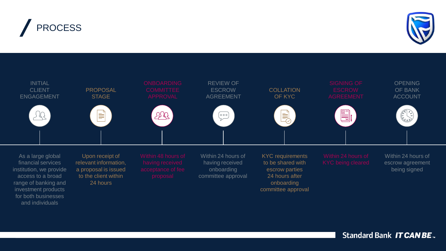



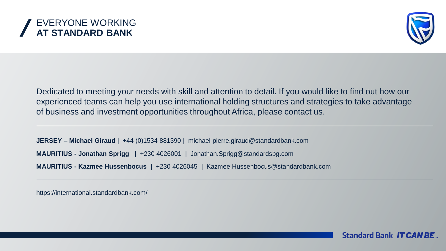



Dedicated to meeting your needs with skill and attention to detail. If you would like to find out how our experienced teams can help you use international holding structures and strategies to take advantage of business and investment opportunities throughout Africa, please contact us.

**JERSEY – Michael Giraud** | +44 (0)1534 881390 | michael-pierre.giraud@standardbank.com **MAURITIUS - Kazmee Hussenbocus |** +230 4026045 | Kazmee.Hussenbocus@standardbank.com **MAURITIUS - Jonathan Sprigg** | +230 4026001 | Jonathan.Sprigg@standardsbg.com

https://international.standardbank.com/

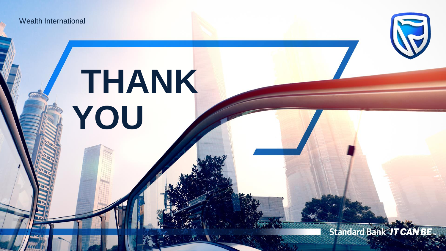Wealth International

# **THANK YOU**

**Standard Bank IT CANBE...** 

J